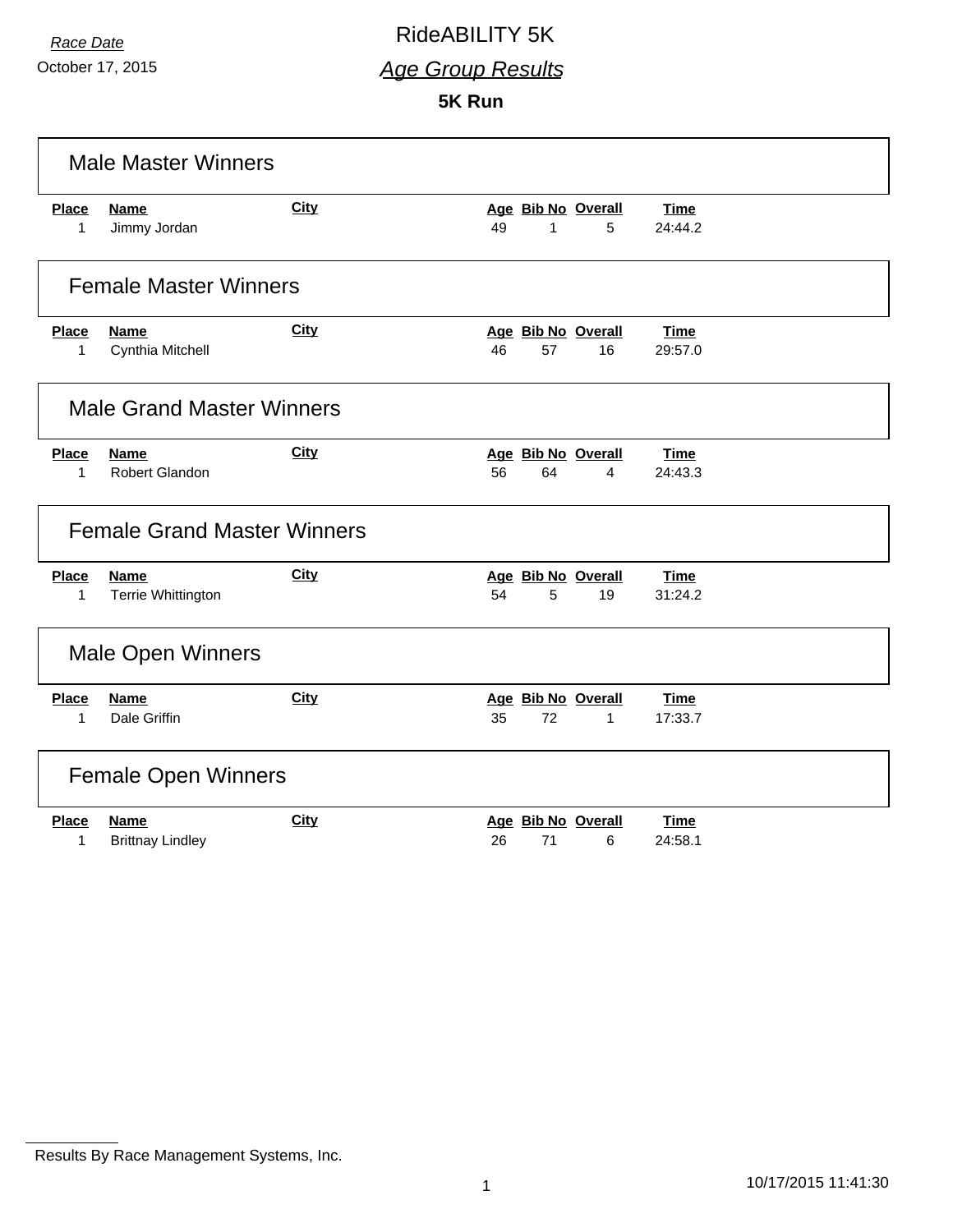### *Race Date* RideABILITY 5K

*Age Group Results*

**5K Run**

|              | <b>Male Master Winners</b>         |             |    |    |                    |             |
|--------------|------------------------------------|-------------|----|----|--------------------|-------------|
| <b>Place</b> | <b>Name</b>                        | <b>City</b> |    |    | Age Bib No Overall | <b>Time</b> |
| 1            | Jimmy Jordan                       |             | 49 | 1  | 5                  | 24:44.2     |
|              | <b>Female Master Winners</b>       |             |    |    |                    |             |
| Place        | <b>Name</b>                        | <b>City</b> |    |    | Age Bib No Overall | <b>Time</b> |
| 1            | Cynthia Mitchell                   |             | 46 | 57 | 16                 | 29:57.0     |
|              | <b>Male Grand Master Winners</b>   |             |    |    |                    |             |
| <b>Place</b> | Name                               | <b>City</b> |    |    | Age Bib No Overall | <b>Time</b> |
| 1            | Robert Glandon                     |             | 56 | 64 | 4                  | 24:43.3     |
|              | <b>Female Grand Master Winners</b> |             |    |    |                    |             |
| <b>Place</b> | <b>Name</b>                        | City        |    |    | Age Bib No Overall | <b>Time</b> |
| $\mathbf{1}$ | Terrie Whittington                 |             | 54 | 5  | 19                 | 31:24.2     |
|              | <b>Male Open Winners</b>           |             |    |    |                    |             |
| <b>Place</b> | <b>Name</b>                        | <b>City</b> |    |    | Age Bib No Overall | <b>Time</b> |
| $\mathbf{1}$ | Dale Griffin                       |             | 35 | 72 | $\mathbf{1}$       | 17:33.7     |
|              | <b>Female Open Winners</b>         |             |    |    |                    |             |
| <b>Place</b> | <b>Name</b>                        | <b>City</b> |    |    | Age Bib No Overall | <b>Time</b> |
| 1            | <b>Brittnay Lindley</b>            |             | 26 | 71 | 6                  | 24:58.1     |

Results By Race Management Systems, Inc.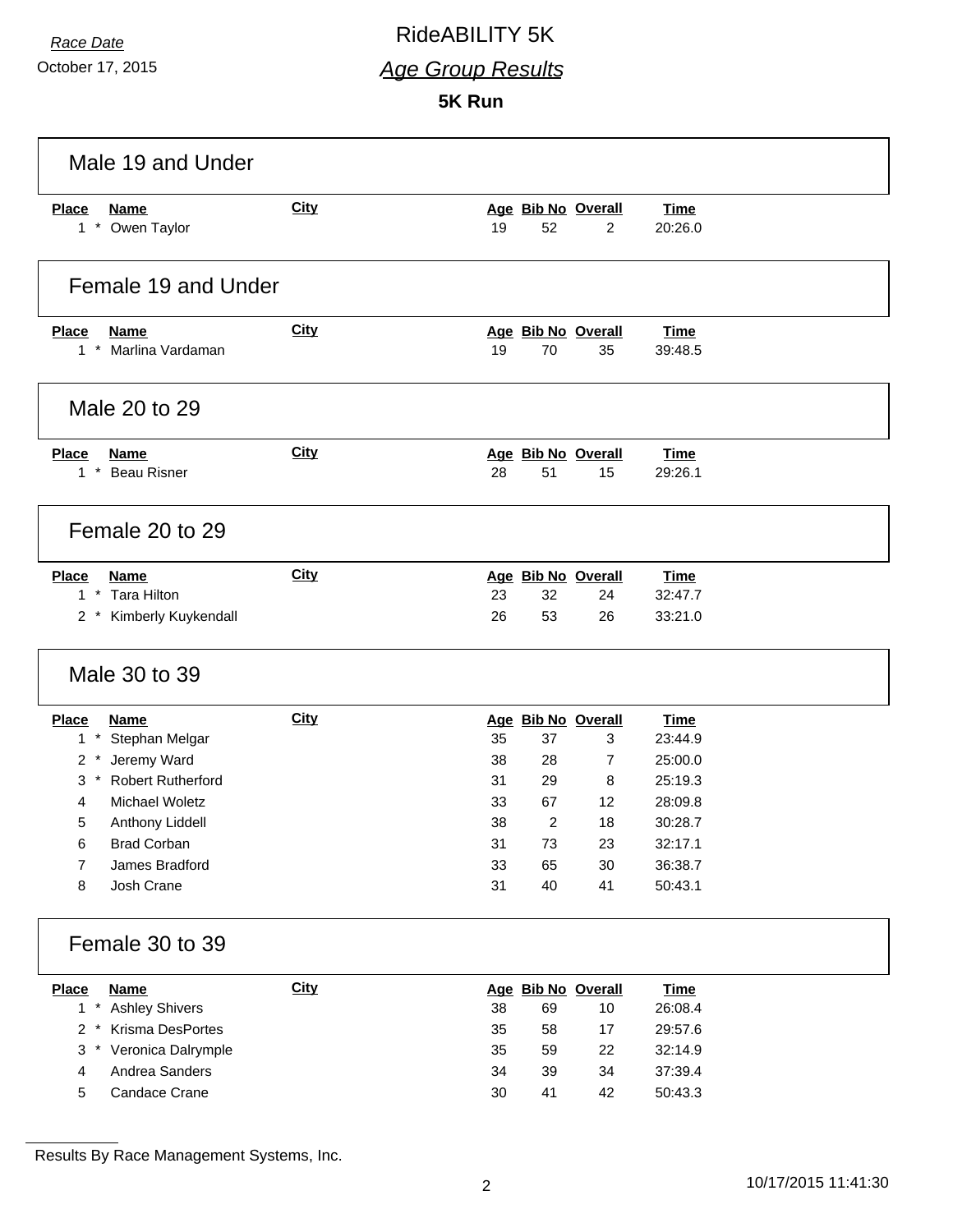### *Race Date* RideABILITY 5K

*Age Group Results*

**5K Run**

| Male 19 and Under                                                 |             |    |                          |                    |                        |  |
|-------------------------------------------------------------------|-------------|----|--------------------------|--------------------|------------------------|--|
| <b>Place</b><br><b>Name</b><br>$1 *$<br>Owen Taylor               | <b>City</b> | 19 | Age Bib No Overall<br>52 | $\overline{c}$     | <b>Time</b><br>20:26.0 |  |
| Female 19 and Under                                               |             |    |                          |                    |                        |  |
| Name<br><b>Place</b><br>$1 *$<br>Marlina Vardaman                 | <b>City</b> | 19 | Age Bib No Overall<br>70 | 35                 | <b>Time</b><br>39:48.5 |  |
| Male 20 to 29                                                     |             |    |                          |                    |                        |  |
| <b>Place</b><br><b>Name</b><br>$\star$<br><b>Beau Risner</b><br>1 | <b>City</b> | 28 | Age Bib No Overall<br>51 | 15                 | <b>Time</b><br>29:26.1 |  |
| Female 20 to 29                                                   |             |    |                          |                    |                        |  |
| <b>Place</b><br><b>Name</b>                                       | City        |    | Age Bib No Overall       |                    | <b>Time</b>            |  |
| $1*$<br><b>Tara Hilton</b>                                        |             | 23 | 32                       | 24                 | 32:47.7                |  |
| 2 * Kimberly Kuykendall<br>Male 30 to 39                          |             | 26 | 53                       | 26                 | 33:21.0                |  |
|                                                                   |             |    |                          |                    |                        |  |
| <b>Place</b><br><b>Name</b><br>$1 *$<br>Stephan Melgar            | <b>City</b> | 35 | Age Bib No Overall<br>37 | 3                  | <b>Time</b><br>23:44.9 |  |
| Jeremy Ward<br>$2 *$                                              |             | 38 | 28                       | $\overline{7}$     | 25:00.0                |  |
| $3*$<br><b>Robert Rutherford</b>                                  |             | 31 | 29                       | 8                  | 25:19.3                |  |
| Michael Woletz<br>4                                               |             | 33 | 67                       | 12                 | 28:09.8                |  |
| 5<br>Anthony Liddell                                              |             | 38 | 2                        | 18                 | 30:28.7                |  |
| <b>Brad Corban</b><br>6                                           |             | 31 | 73                       | 23                 | 32:17.1                |  |
| James Bradford<br>7                                               |             | 33 | 65                       | 30                 | 36:38.7                |  |
| Josh Crane<br>8                                                   |             | 31 | 40                       | 41                 | 50:43.1                |  |
| Female 30 to 39                                                   |             |    |                          |                    |                        |  |
| <b>Place</b><br><b>Name</b>                                       | <b>City</b> |    |                          | Age Bib No Overall | <b>Time</b>            |  |
| $1*$<br><b>Ashley Shivers</b>                                     |             | 38 | 69                       | 10                 | 26:08.4                |  |
| Krisma DesPortes<br>$2 *$                                         |             | 35 | 58                       | 17                 | 29:57.6                |  |
| $3^*$<br>Veronica Dalrymple                                       |             | 35 | 59                       | 22                 | 32:14.9                |  |
| Andrea Sanders<br>4                                               |             | 34 | 39                       | 34                 | 37:39.4                |  |
| 5<br>Candace Crane                                                |             | 30 | 41                       | 42                 | 50:43.3                |  |

Results By Race Management Systems, Inc.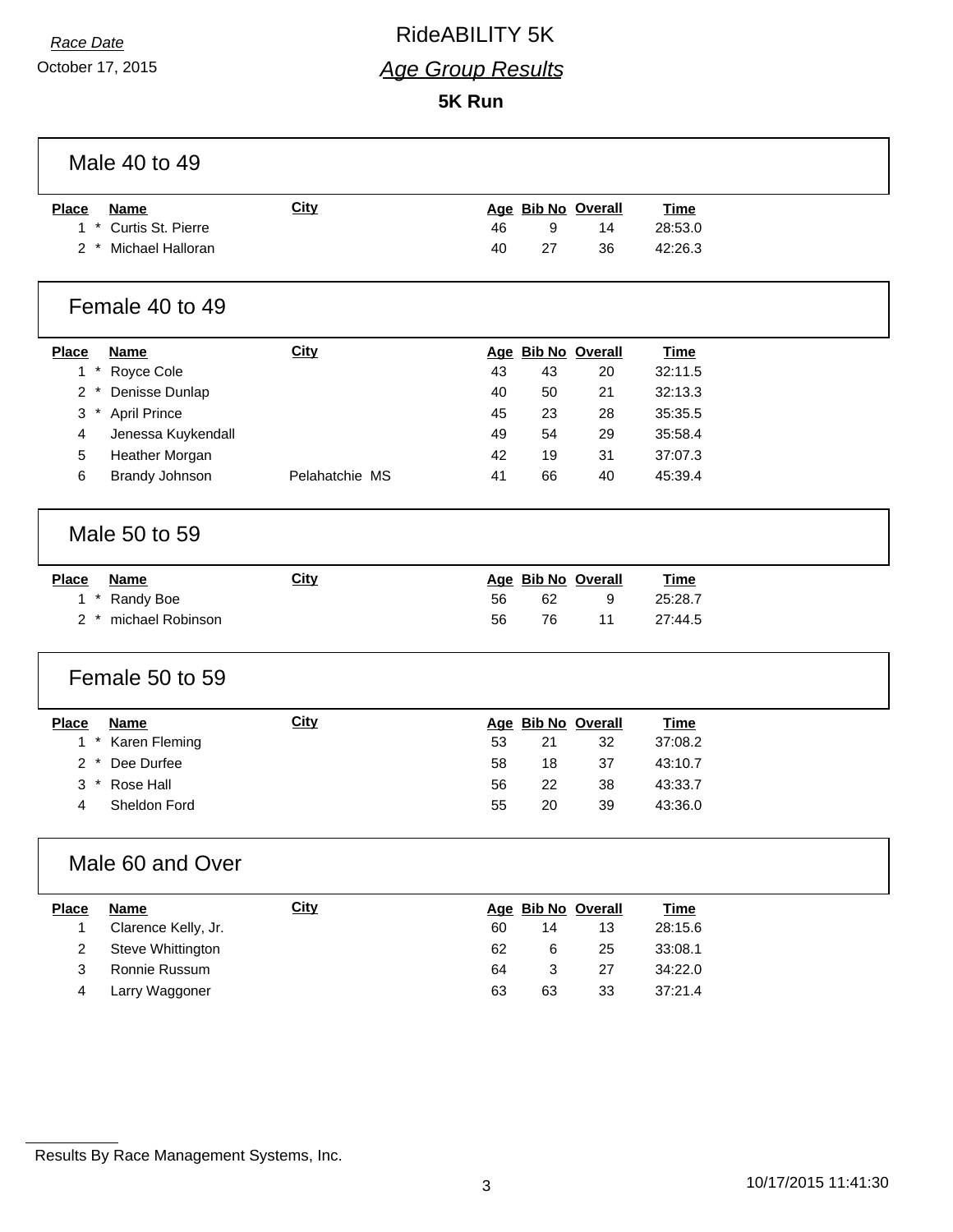# *Race Date* RideABILITY 5K

*Age Group Results*

**5K Run**

| Male 40 to 49                              |                |    |    |                    |             |  |
|--------------------------------------------|----------------|----|----|--------------------|-------------|--|
| Place<br><b>Name</b>                       | City           |    |    | Age Bib No Overall | <b>Time</b> |  |
| * Curtis St. Pierre<br>1                   |                | 46 | 9  | 14                 | 28:53.0     |  |
| 2 * Michael Halloran                       |                | 40 | 27 | 36                 | 42:26.3     |  |
| Female 40 to 49                            |                |    |    |                    |             |  |
| <b>Place</b><br><b>Name</b>                | City           |    |    | Age Bib No Overall | <b>Time</b> |  |
| * Royce Cole<br>1                          |                | 43 | 43 | 20                 | 32:11.5     |  |
| $\overline{2}$<br>Denisse Dunlap<br>$\ast$ |                | 40 | 50 | 21                 | 32:13.3     |  |
| * April Prince<br>3                        |                | 45 | 23 | 28                 | 35:35.5     |  |
| 4<br>Jenessa Kuykendall                    |                | 49 | 54 | 29                 | 35:58.4     |  |
| 5<br>Heather Morgan                        |                | 42 | 19 | 31                 | 37:07.3     |  |
| <b>Brandy Johnson</b><br>6                 | Pelahatchie MS | 41 | 66 | 40                 | 45:39.4     |  |
| Male 50 to 59                              |                |    |    |                    |             |  |
| <b>Place</b><br><b>Name</b>                | <b>City</b>    |    |    | Age Bib No Overall | <b>Time</b> |  |
| 1 * Randy Boe                              |                | 56 | 62 | 9                  | 25:28.7     |  |
| 2 * michael Robinson                       |                | 56 | 76 | 11                 | 27:44.5     |  |
| Female 50 to 59                            |                |    |    |                    |             |  |
| <b>Place</b><br><b>Name</b>                | City           |    |    | Age Bib No Overall | <b>Time</b> |  |
| * Karen Fleming<br>$\mathbf{1}$            |                | 53 | 21 | 32                 | 37:08.2     |  |
| $\overline{2}$<br>Dee Durfee               |                | 58 | 18 | 37                 | 43:10.7     |  |
| 3<br>$\star$<br>Rose Hall                  |                | 56 | 22 | 38                 | 43:33.7     |  |
| Sheldon Ford<br>4                          |                | 55 | 20 | 39                 | 43:36.0     |  |
| Male 60 and Over                           |                |    |    |                    |             |  |
|                                            |                |    |    |                    |             |  |
| <b>Place</b><br><b>Name</b>                | <b>City</b>    |    |    | Age Bib No Overall | <b>Time</b> |  |
| Clarence Kelly, Jr.<br>1                   |                | 60 | 14 | 13                 | 28:15.6     |  |
| 2<br>Steve Whittington                     |                | 62 | 6  | 25                 | 33:08.1     |  |
| Ronnie Russum<br>$\mathbf{3}$              |                | 64 | 3  | 27                 | 34:22.0     |  |

Results By Race Management Systems, Inc.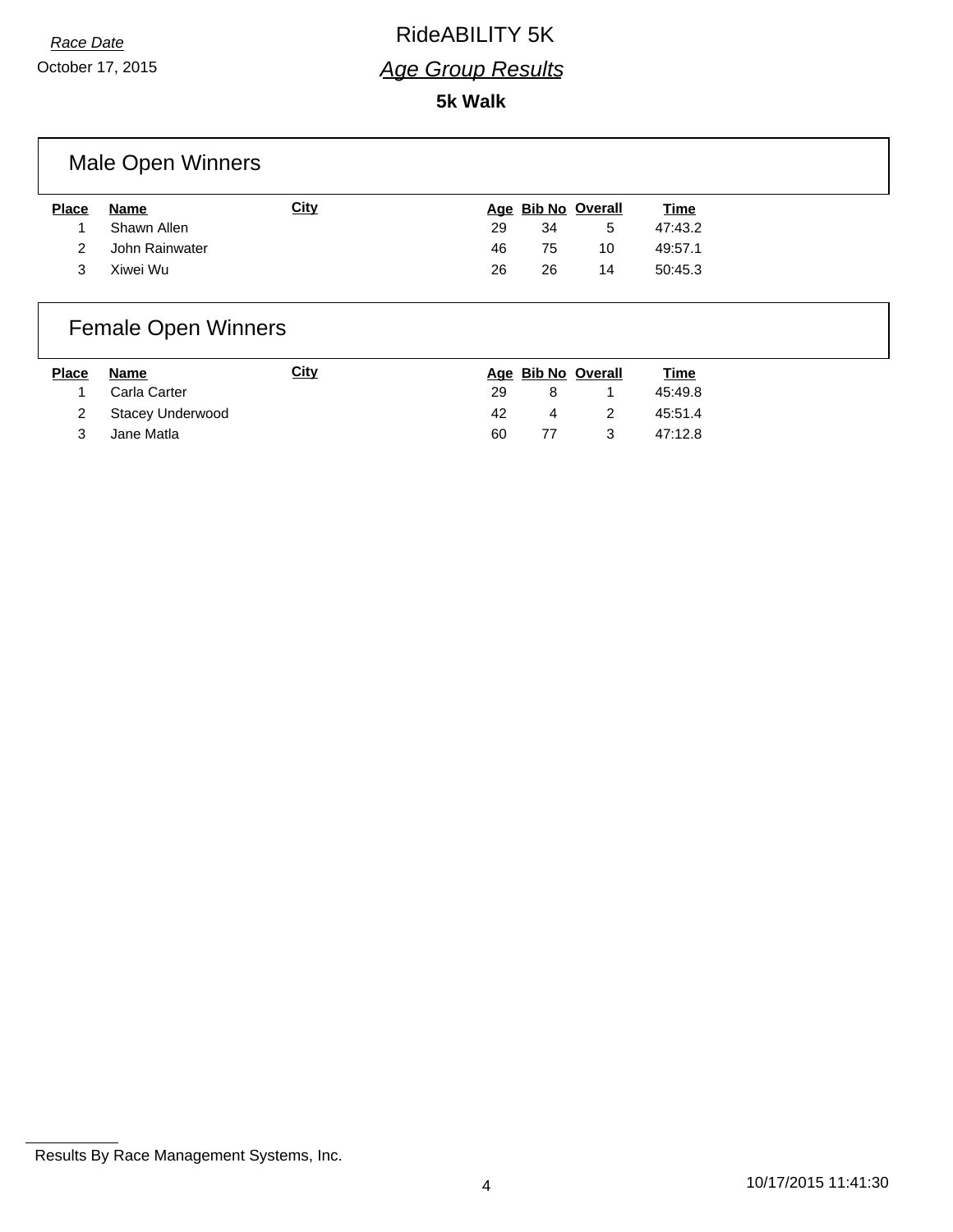### *Race Date* RideABILITY 5K

#### *Age Group Results*

#### **5k Walk**

### Male Open Winners

| <b>Place</b> | Name           | City |    |    | Age Bib No Overall | <u>Time</u> |
|--------------|----------------|------|----|----|--------------------|-------------|
|              | Shawn Allen    |      | 29 | 34 | 5                  | 47:43.2     |
| 2            | John Rainwater |      | 46 | 75 | 10                 | 49:57.1     |
| 3            | Xiwei Wu       |      | 26 | 26 | 14                 | 50:45.3     |

## Female Open Winners

| <b>Place</b> | Name               | <u>City</u> |     |    | Age Bib No Overall | <u>Time</u> |
|--------------|--------------------|-------------|-----|----|--------------------|-------------|
| 1            | Carla Carter       |             | 29  | 8. |                    | 45:49.8     |
|              | 2 Stacey Underwood |             | 42. | 4  | -2                 | 45:51.4     |
|              | Jane Matla         |             | 60  | 77 | - 3                | 47:12.8     |

Results By Race Management Systems, Inc.